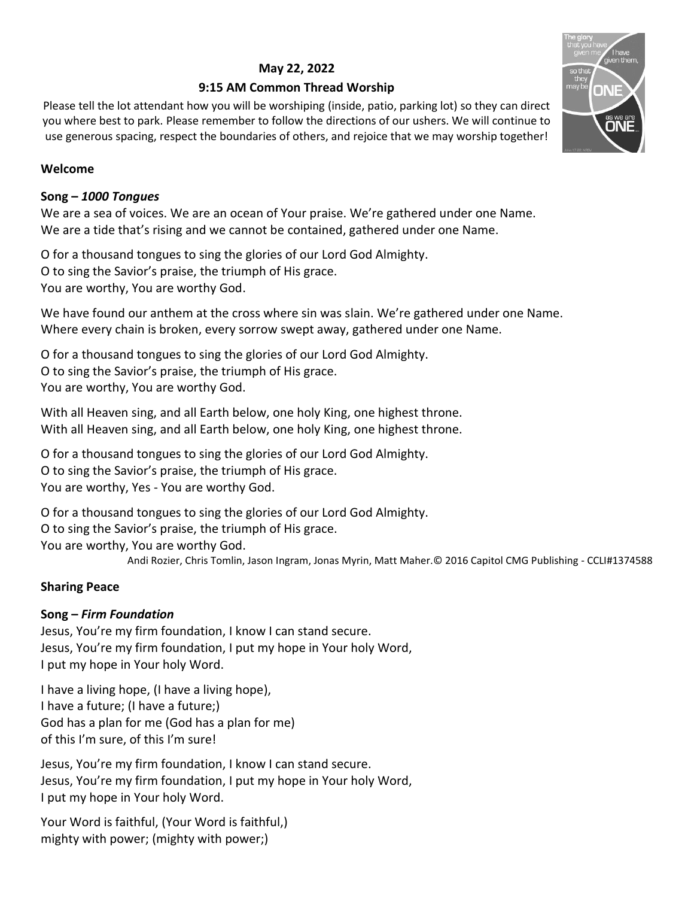# **May 22, 2022**

### **9:15 AM Common Thread Worship**

Please tell the lot attendant how you will be worshiping (inside, patio, parking lot) so they can direct you where best to park. Please remember to follow the directions of our ushers. We will continue to use generous spacing, respect the boundaries of others, and rejoice that we may worship together!

### **Welcome**

#### **Song –** *1000 Tongues*

We are a sea of voices. We are an ocean of Your praise. We're gathered under one Name. We are a tide that's rising and we cannot be contained, gathered under one Name.

O for a thousand tongues to sing the glories of our Lord God Almighty. O to sing the Savior's praise, the triumph of His grace. You are worthy, You are worthy God.

We have found our anthem at the cross where sin was slain. We're gathered under one Name. Where every chain is broken, every sorrow swept away, gathered under one Name.

O for a thousand tongues to sing the glories of our Lord God Almighty. O to sing the Savior's praise, the triumph of His grace. You are worthy, You are worthy God.

With all Heaven sing, and all Earth below, one holy King, one highest throne. With all Heaven sing, and all Earth below, one holy King, one highest throne.

O for a thousand tongues to sing the glories of our Lord God Almighty. O to sing the Savior's praise, the triumph of His grace. You are worthy, Yes - You are worthy God.

O for a thousand tongues to sing the glories of our Lord God Almighty. O to sing the Savior's praise, the triumph of His grace. You are worthy, You are worthy God. Andi Rozier, Chris Tomlin, Jason Ingram, Jonas Myrin, Matt Maher.© 2016 Capitol CMG Publishing - CCLI#1374588

### **Sharing Peace**

### **Song –** *Firm Foundation*

Jesus, You're my firm foundation, I know I can stand secure. Jesus, You're my firm foundation, I put my hope in Your holy Word, I put my hope in Your holy Word.

I have a living hope, (I have a living hope), I have a future; (I have a future;) God has a plan for me (God has a plan for me) of this I'm sure, of this I'm sure!

Jesus, You're my firm foundation, I know I can stand secure. Jesus, You're my firm foundation, I put my hope in Your holy Word, I put my hope in Your holy Word.

Your Word is faithful, (Your Word is faithful,) mighty with power; (mighty with power;)

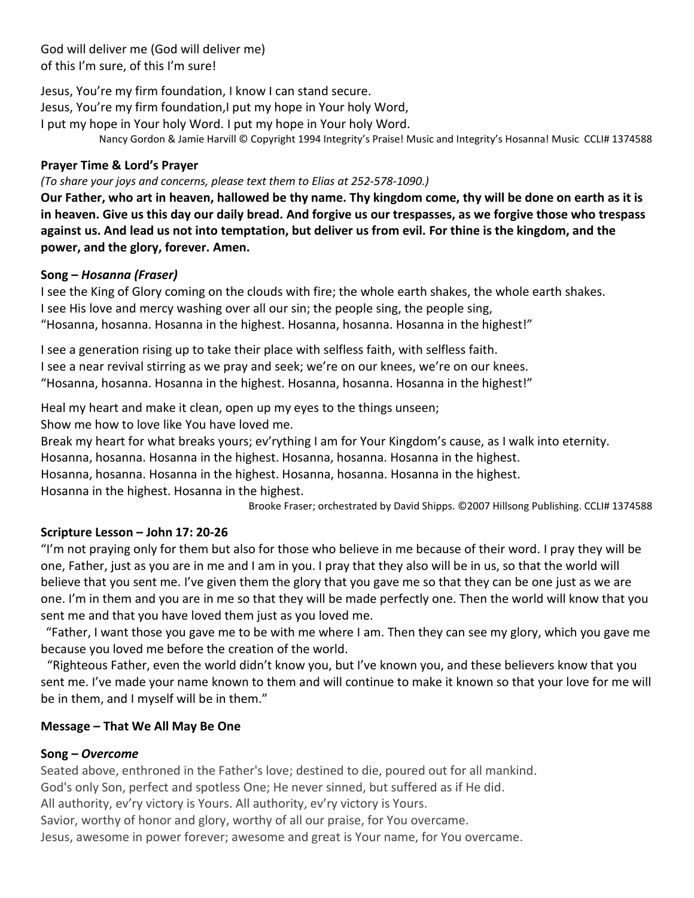God will deliver me (God will deliver me) of this I'm sure, of this I'm sure!

Jesus, You're my firm foundation, I know I can stand secure. Jesus, You're my firm foundation,I put my hope in Your holy Word, I put my hope in Your holy Word. I put my hope in Your holy Word. Nancy Gordon & Jamie Harvill © Copyright 1994 Integrity's Praise! Music and Integrity's Hosanna! Music CCLI# 1374588

#### **Prayer Time & Lord's Prayer**

*(To share your joys and concerns, please text them to Elias at 252-578-1090.)*

**Our Father, who art in heaven, hallowed be thy name. Thy kingdom come, thy will be done on earth as it is in heaven. Give us this day our daily bread. And forgive us our trespasses, as we forgive those who trespass against us. And lead us not into temptation, but deliver us from evil. For thine is the kingdom, and the power, and the glory, forever. Amen.**

#### **Song –** *Hosanna (Fraser)*

I see the King of Glory coming on the clouds with fire; the whole earth shakes, the whole earth shakes. I see His love and mercy washing over all our sin; the people sing, the people sing, "Hosanna, hosanna. Hosanna in the highest. Hosanna, hosanna. Hosanna in the highest!"

I see a generation rising up to take their place with selfless faith, with selfless faith. I see a near revival stirring as we pray and seek; we're on our knees, we're on our knees. "Hosanna, hosanna. Hosanna in the highest. Hosanna, hosanna. Hosanna in the highest!"

Heal my heart and make it clean, open up my eyes to the things unseen; Show me how to love like You have loved me.

Break my heart for what breaks yours; ev'rything I am for Your Kingdom's cause, as I walk into eternity.

Hosanna, hosanna. Hosanna in the highest. Hosanna, hosanna. Hosanna in the highest.

Hosanna, hosanna. Hosanna in the highest. Hosanna, hosanna. Hosanna in the highest.

Hosanna in the highest. Hosanna in the highest.

Brooke Fraser; orchestrated by David Shipps. ©2007 Hillsong Publishing. CCLI# 1374588

### **Scripture Lesson – John 17: 20-26**

"I'm not praying only for them but also for those who believe in me because of their word. I pray they will be one, Father, just as you are in me and I am in you. I pray that they also will be in us, so that the world will believe that you sent me. I've given them the glory that you gave me so that they can be one just as we are one. I'm in them and you are in me so that they will be made perfectly one. Then the world will know that you sent me and that you have loved them just as you loved me.

"Father, I want those you gave me to be with me where I am. Then they can see my glory, which you gave me because you loved me before the creation of the world.

 "Righteous Father, even the world didn't know you, but I've known you, and these believers know that you sent me. I've made your name known to them and will continue to make it known so that your love for me will be in them, and I myself will be in them."

#### **Message – That We All May Be One**

### **Song** *– Overcome*

Seated above, enthroned in the Father's love; destined to die, poured out for all mankind. God's only Son, perfect and spotless One; He never sinned, but suffered as if He did. All authority, ev'ry victory is Yours. All authority, ev'ry victory is Yours. Savior, worthy of honor and glory, worthy of all our praise, for You overcame. Jesus, awesome in power forever; awesome and great is Your name, for You overcame.